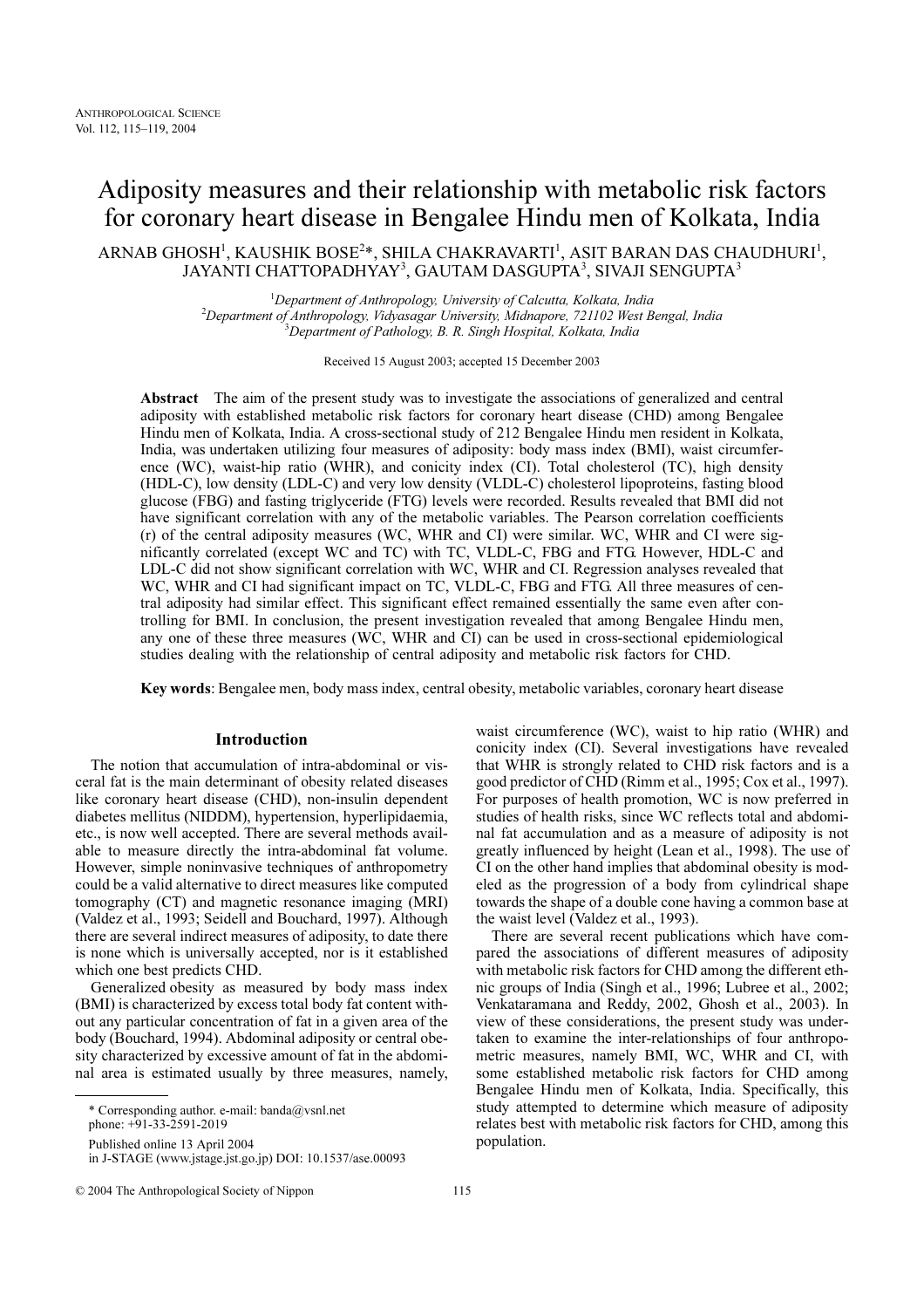# Adiposity measures and their relationship with metabolic risk factors for coronary heart disease in Bengalee Hindu men of Kolkata, India

ARNAB GHOSH<sup>1</sup>, KAUSHIK BOSE<sup>2</sup>\*, SHILA CHAKRAVARTI<sup>1</sup>, ASIT BARAN DAS CHAUDHURI<sup>1</sup>, JAYANTI CHATTOPADHYAY<sup>3</sup>, GAUTAM DASGUPTA<sup>3</sup>, SIVAJI SENGUPTA<sup>3</sup>

> <sup>1</sup>Department of Anthropology, University of Calcutta, Kolkata, India<br><sup>2</sup>Department of Authorista Michael Belgius II department of Authorista Michael Belgius II department <sup>2</sup>Department of Anthropology, Vidyasagar University, Midnapore, 721102 West Bengal, India Bepartment of Pathology, B. R. Singh Hospital, Kolkata, India

> > Received 15 August 2003; accepted 15 December 2003

Abstract The aim of the present study was to investigate the associations of generalized and central adiposity with established metabolic risk factors for coronary heart disease (CHD) among Bengalee Hindu men of Kolkata, India. A cross-sectional study of 212 Bengalee Hindu men resident in Kolkata, India, was undertaken utilizing four measures of adiposity: body mass index (BMI), waist circumference (WC), waist-hip ratio (WHR), and conicity index (CI). Total cholesterol (TC), high density (HDL-C), low density (LDL-C) and very low density (VLDL-C) cholesterol lipoproteins, fasting blood glucose (FBG) and fasting triglyceride (FTG) levels were recorded. Results revealed that BMI did not have significant correlation with any of the metabolic variables. The Pearson correlation coefficients (r) of the central adiposity measures (WC, WHR and CI) were similar. WC, WHR and CI were significantly correlated (except WC and TC) with TC, VLDL-C, FBG and FTG. However, HDL-C and LDL-C did not show significant correlation with WC, WHR and CI. Regression analyses revealed that WC, WHR and CI had significant impact on TC, VLDL-C, FBG and FTG. All three measures of central adiposity had similar effect. This significant effect remained essentially the same even after controlling for BMI. In conclusion, the present investigation revealed that among Bengalee Hindu men, any one of these three measures (WC, WHR and CI) can be used in cross-sectional epidemiological studies dealing with the relationship of central adiposity and metabolic risk factors for CHD.

Key words: Bengalee men, body mass index, central obesity, metabolic variables, coronary heart disease

## Introduction

The notion that accumulation of intra-abdominal or visceral fat is the main determinant of obesity related diseases like coronary heart disease (CHD), non-insulin dependent diabetes mellitus (NIDDM), hypertension, hyperlipidaemia, etc., is now well accepted. There are several methods available to measure directly the intra-abdominal fat volume. However, simple noninvasive techniques of anthropometry could be a valid alternative to direct measures like computed tomography (CT) and magnetic resonance imaging (MRI) (Valdez et al., 1993; Seidell and Bouchard, 1997). Although there are several indirect measures of adiposity, to date there is none which is universally accepted, nor is it established which one best predicts CHD.

Generalized obesity as measured by body mass index (BMI) is characterized by excess total body fat content without any particular concentration of fat in a given area of the body (Bouchard, 1994). Abdominal adiposity or central obesity characterized by excessive amount of fat in the abdominal area is estimated usually by three measures, namely,

\* Corresponding author. e-mail: banda@vsnl.net phone: +91-33-2591-2019

Published online 13 April 2004

in J-STAGE (www.jstage.jst.go.jp) DOI: 10.1537/ase.00093

© 2004 The Anthropological Society of Nippon 115

waist circumference (WC), waist to hip ratio (WHR) and conicity index (CI). Several investigations have revealed that WHR is strongly related to CHD risk factors and is a good predictor of CHD (Rimm et al., 1995; Cox et al., 1997). For purposes of health promotion, WC is now preferred in studies of health risks, since WC reflects total and abdominal fat accumulation and as a measure of adiposity is not greatly influenced by height (Lean et al., 1998). The use of CI on the other hand implies that abdominal obesity is modeled as the progression of a body from cylindrical shape towards the shape of a double cone having a common base at the waist level (Valdez et al., 1993).

There are several recent publications which have compared the associations of different measures of adiposity with metabolic risk factors for CHD among the different ethnic groups of India (Singh et al., 1996; Lubree et al., 2002; Venkataramana and Reddy, 2002, Ghosh et al., 2003). In view of these considerations, the present study was undertaken to examine the inter-relationships of four anthropometric measures, namely BMI, WC, WHR and CI, with some established metabolic risk factors for CHD among Bengalee Hindu men of Kolkata, India. Specifically, this study attempted to determine which measure of adiposity relates best with metabolic risk factors for CHD, among this population.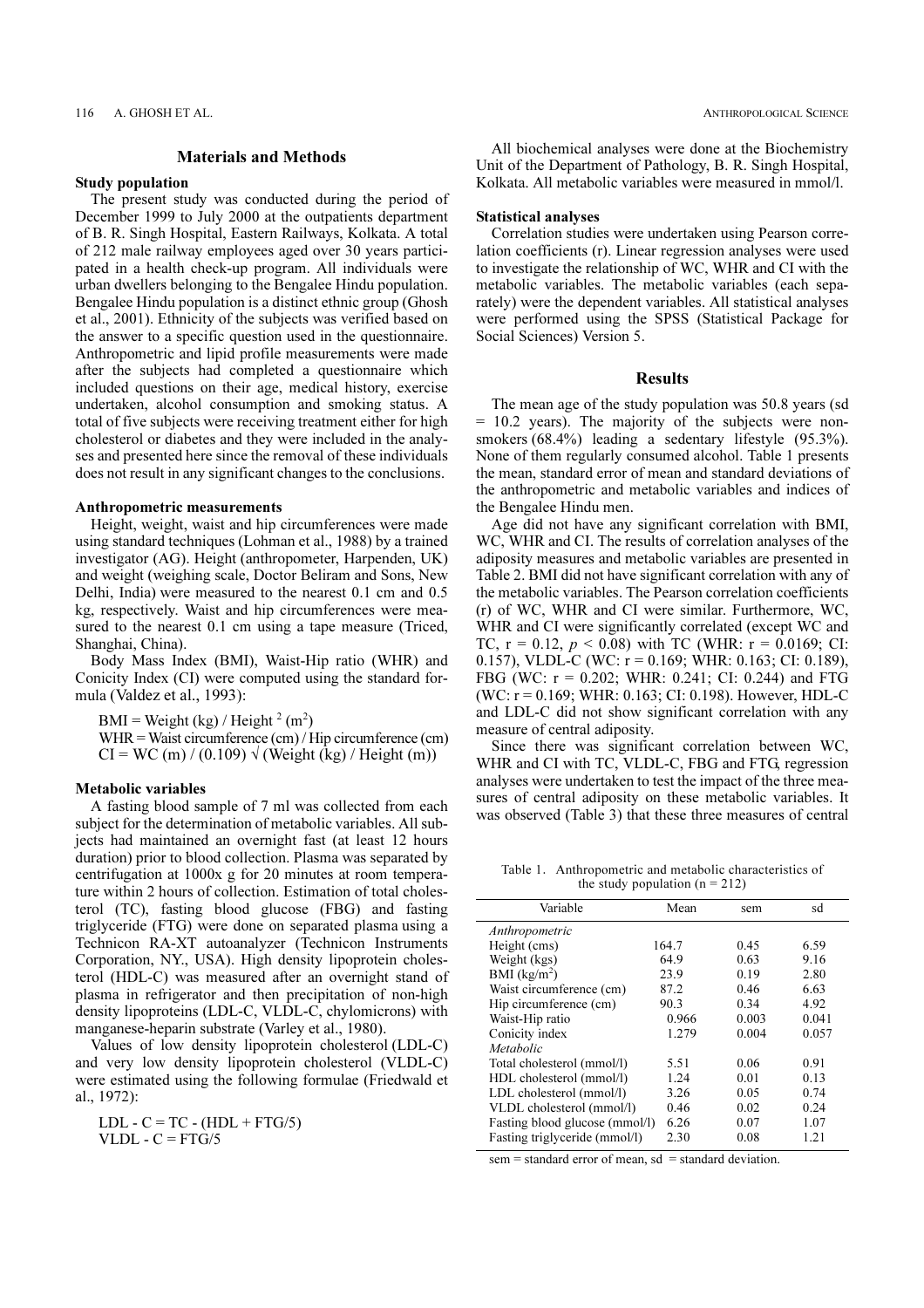## Materials and Methods

## Study population

The present study was conducted during the period of December 1999 to July 2000 at the outpatients department of B. R. Singh Hospital, Eastern Railways, Kolkata. A total of 212 male railway employees aged over 30 years participated in a health check-up program. All individuals were urban dwellers belonging to the Bengalee Hindu population. Bengalee Hindu population is a distinct ethnic group (Ghosh et al., 2001). Ethnicity of the subjects was verified based on the answer to a specific question used in the questionnaire. Anthropometric and lipid profile measurements were made after the subjects had completed a questionnaire which included questions on their age, medical history, exercise undertaken, alcohol consumption and smoking status. A total of five subjects were receiving treatment either for high cholesterol or diabetes and they were included in the analyses and presented here since the removal of these individuals does not result in any significant changes to the conclusions.

#### Anthropometric measurements

Height, weight, waist and hip circumferences were made using standard techniques (Lohman et al., 1988) by a trained investigator (AG). Height (anthropometer, Harpenden, UK) and weight (weighing scale, Doctor Beliram and Sons, New Delhi, India) were measured to the nearest 0.1 cm and 0.5 kg, respectively. Waist and hip circumferences were measured to the nearest 0.1 cm using a tape measure (Triced, Shanghai, China).

Body Mass Index (BMI), Waist-Hip ratio (WHR) and Conicity Index (CI) were computed using the standard formula (Valdez et al., 1993):

 $BMI = Weight (kg) / Height^2 (m^2)$ WHR = Waist circumference (cm) / Hip circumference (cm)  $CI = WC$  (m) / (0.109)  $\sqrt{(Weight (kg)/Height (m))}$ 

#### Metabolic variables

A fasting blood sample of 7 ml was collected from each subject for the determination of metabolic variables. All subjects had maintained an overnight fast (at least 12 hours duration) prior to blood collection. Plasma was separated by centrifugation at 1000x g for 20 minutes at room temperature within 2 hours of collection. Estimation of total cholesterol (TC), fasting blood glucose (FBG) and fasting triglyceride (FTG) were done on separated plasma using a Technicon RA-XT autoanalyzer (Technicon Instruments Corporation, NY., USA). High density lipoprotein cholesterol (HDL-C) was measured after an overnight stand of plasma in refrigerator and then precipitation of non-high density lipoproteins (LDL-C, VLDL-C, chylomicrons) with manganese-heparin substrate (Varley et al., 1980).

Values of low density lipoprotein cholesterol (LDL-C) and very low density lipoprotein cholesterol (VLDL-C) were estimated using the following formulae (Friedwald et al., 1972):

 $LDL - C = TC - (HDL + FTG/5)$ VLDL -  $C = FTG/5$ 

All biochemical analyses were done at the Biochemistry Unit of the Department of Pathology, B. R. Singh Hospital, Kolkata. All metabolic variables were measured in mmol/l.

#### Statistical analyses

Correlation studies were undertaken using Pearson correlation coefficients (r). Linear regression analyses were used to investigate the relationship of WC, WHR and CI with the metabolic variables. The metabolic variables (each separately) were the dependent variables. All statistical analyses were performed using the SPSS (Statistical Package for Social Sciences) Version 5.

## Results

The mean age of the study population was 50.8 years (sd = 10.2 years). The majority of the subjects were nonsmokers (68.4%) leading a sedentary lifestyle (95.3%). None of them regularly consumed alcohol. Table 1 presents the mean, standard error of mean and standard deviations of the anthropometric and metabolic variables and indices of the Bengalee Hindu men.

Age did not have any significant correlation with BMI, WC, WHR and CI. The results of correlation analyses of the adiposity measures and metabolic variables are presented in Table 2. BMI did not have significant correlation with any of the metabolic variables. The Pearson correlation coefficients (r) of WC, WHR and CI were similar. Furthermore, WC, WHR and CI were significantly correlated (except WC and TC,  $r = 0.12$ ,  $p < 0.08$ ) with TC (WHR:  $r = 0.0169$ ; CI: 0.157), VLDL-C (WC: r = 0.169; WHR: 0.163; CI: 0.189), FBG (WC: r = 0.202; WHR: 0.241; CI: 0.244) and FTG (WC: r = 0.169; WHR: 0.163; CI: 0.198). However, HDL-C and LDL-C did not show significant correlation with any measure of central adiposity.

Since there was significant correlation between WC, WHR and CI with TC, VLDL-C, FBG and FTG, regression analyses were undertaken to test the impact of the three measures of central adiposity on these metabolic variables. It was observed (Table 3) that these three measures of central

Table 1. Anthropometric and metabolic characteristics of the study population  $(n = 212)$ 

| Variable                       | Mean  | sem   | sd    |
|--------------------------------|-------|-------|-------|
| Anthropometric                 |       |       |       |
| Height (cms)                   | 164.7 | 0.45  | 6.59  |
| Weight (kgs)                   | 64.9  | 0.63  | 9.16  |
| BMI (kg/m <sup>2</sup> )       | 23.9  | 0.19  | 2.80  |
| Waist circumference (cm)       | 87.2  | 0.46  | 6.63  |
| Hip circumference (cm)         | 90.3  | 0.34  | 4.92  |
| Waist-Hip ratio                | 0.966 | 0.003 | 0.041 |
| Conicity index                 | 1.279 | 0.004 | 0.057 |
| Metabolic                      |       |       |       |
| Total cholesterol (mmol/l)     | 5.51  | 0.06  | 0.91  |
| HDL cholesterol (mmol/l)       | 1.24  | 0.01  | 0.13  |
| LDL cholesterol (mmol/l)       | 3.26  | 0.05  | 0.74  |
| VLDL cholesterol (mmol/l)      | 0.46  | 0.02  | 0.24  |
| Fasting blood glucose (mmol/l) | 6.26  | 0.07  | 1.07  |
| Fasting triglyceride (mmol/l)  | 2.30  | 0.08  | 1.21  |

 $sem = standard error of mean, sd = standard deviation.$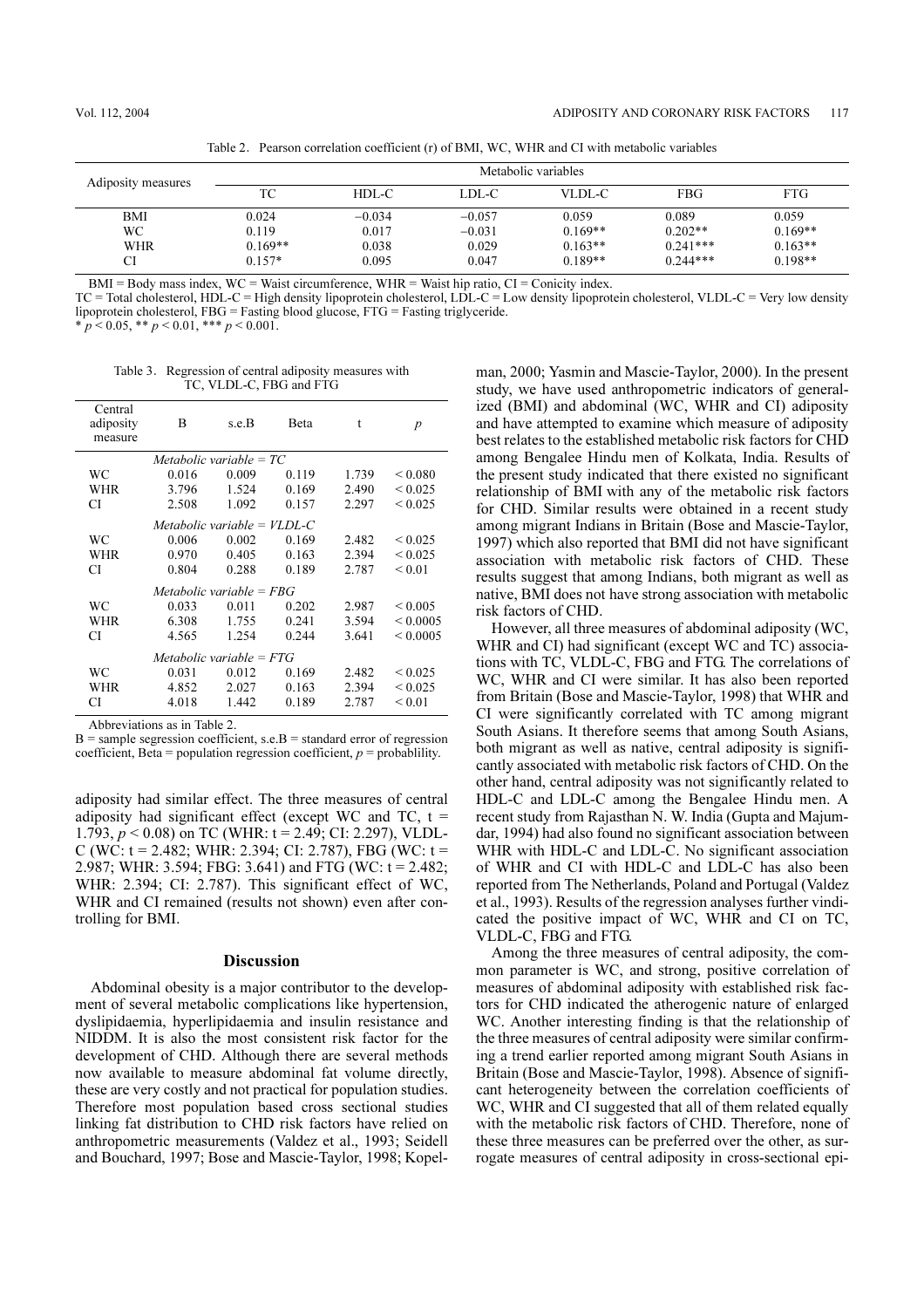Table 2. Pearson correlation coefficient (r) of BMI, WC, WHR and CI with metabolic variables

| Adiposity measures             | Metabolic variables                     |                                     |                                        |                                              |                                                |                                              |
|--------------------------------|-----------------------------------------|-------------------------------------|----------------------------------------|----------------------------------------------|------------------------------------------------|----------------------------------------------|
|                                | TC                                      | HDL-C                               | LDL-C                                  | VLDL-C                                       | FBG                                            | <b>FTG</b>                                   |
| BMI<br>WC.<br><b>WHR</b><br>CI | 0.024<br>0.119<br>$0.169**$<br>$0.157*$ | $-0.034$<br>0.017<br>0.038<br>0.095 | $-0.057$<br>$-0.031$<br>0.029<br>0.047 | 0.059<br>$0.169**$<br>$0.163**$<br>$0.189**$ | 0.089<br>$0.202**$<br>$0.241***$<br>$0.244***$ | 0.059<br>$0.169**$<br>$0.163**$<br>$0.198**$ |

 $BMI = Body$  mass index,  $WC = Wait$  circumference,  $WHR = Wait$  hip ratio,  $CI = Conicity$  index.

TC = Total cholesterol, HDL-C = High density lipoprotein cholesterol, LDL-C = Low density lipoprotein cholesterol, VLDL-C = Very low density lipoprotein cholesterol, FBG = Fasting blood glucose, FTG = Fasting triglyceride.

 $* p < 0.05, ** p < 0.01, ** p < 0.001.$ 

Table 3. Regression of central adiposity measures with TC, VLDL-C, FBG and FTG

| Central<br>adiposity<br>measure | B     | s.e.B | Beta  | t     | $\overline{p}$    |  |  |  |
|---------------------------------|-------|-------|-------|-------|-------------------|--|--|--|
| Metabolic variable $= TC$       |       |       |       |       |                   |  |  |  |
| WC                              | 0.016 | 0.009 | 0.119 | 1.739 | ${}_{\leq 0.080}$ |  |  |  |
| WHR                             | 3.796 | 1.524 | 0.169 | 2.490 | < 0.025           |  |  |  |
| СI                              | 2.508 | 1.092 | 0.157 | 2.297 | ${}_{0.025}$      |  |  |  |
| Metabolic variable = $VLDL-C$   |       |       |       |       |                   |  |  |  |
| WС                              | 0.006 | 0.002 | 0.169 | 2.482 | ${}_{0.025}$      |  |  |  |
| WHR                             | 0.970 | 0.405 | 0.163 | 2.394 | < 0.025           |  |  |  |
| СI                              | 0.804 | 0.288 | 0.189 | 2.787 | ${}_{0.01}$       |  |  |  |
| Metabolic variable = $FBG$      |       |       |       |       |                   |  |  |  |
| WС                              | 0.033 | 0.011 | 0.202 | 2.987 | ${}_{0.005}$      |  |  |  |
| <b>WHR</b>                      | 6.308 | 1.755 | 0.241 | 3.594 | ${}_{0.0005}$     |  |  |  |
| СI                              | 4.565 | 1.254 | 0.244 | 3.641 | < 0.0005          |  |  |  |
| Metabolic variable $= FTG$      |       |       |       |       |                   |  |  |  |
| WС                              | 0.031 | 0.012 | 0.169 | 2.482 | ${}_{0.025}$      |  |  |  |
| <b>WHR</b>                      | 4.852 | 2.027 | 0.163 | 2.394 | ${}_{0.025}$      |  |  |  |
| СI                              | 4.018 | 1.442 | 0.189 | 2.787 | ${}_{0.01}$       |  |  |  |

Abbreviations as in Table 2.

 $B =$ sample segression coefficient, s.e. $B =$ standard error of regression coefficient, Beta = population regression coefficient,  $p =$  probablility.

adiposity had similar effect. The three measures of central adiposity had significant effect (except WC and TC,  $t =$ 1.793,  $p < 0.08$ ) on TC (WHR: t = 2.49; CI: 2.297), VLDL-C (WC:  $t = 2.482$ ; WHR: 2.394; CI: 2.787), FBG (WC:  $t =$ 2.987; WHR: 3.594; FBG: 3.641) and FTG (WC: t = 2.482; WHR: 2.394; CI: 2.787). This significant effect of WC, WHR and CI remained (results not shown) even after controlling for BMI.

## Discussion

Abdominal obesity is a major contributor to the development of several metabolic complications like hypertension, dyslipidaemia, hyperlipidaemia and insulin resistance and NIDDM. It is also the most consistent risk factor for the development of CHD. Although there are several methods now available to measure abdominal fat volume directly, these are very costly and not practical for population studies. Therefore most population based cross sectional studies linking fat distribution to CHD risk factors have relied on anthropometric measurements (Valdez et al., 1993; Seidell and Bouchard, 1997; Bose and Mascie-Taylor, 1998; Kopelman, 2000; Yasmin and Mascie-Taylor, 2000). In the present study, we have used anthropometric indicators of generalized (BMI) and abdominal (WC, WHR and CI) adiposity and have attempted to examine which measure of adiposity best relates to the established metabolic risk factors for CHD among Bengalee Hindu men of Kolkata, India. Results of the present study indicated that there existed no significant relationship of BMI with any of the metabolic risk factors for CHD. Similar results were obtained in a recent study among migrant Indians in Britain (Bose and Mascie-Taylor, 1997) which also reported that BMI did not have significant association with metabolic risk factors of CHD. These results suggest that among Indians, both migrant as well as native, BMI does not have strong association with metabolic risk factors of CHD.

However, all three measures of abdominal adiposity (WC, WHR and CI) had significant (except WC and TC) associations with TC, VLDL-C, FBG and FTG. The correlations of WC, WHR and CI were similar. It has also been reported from Britain (Bose and Mascie-Taylor, 1998) that WHR and CI were significantly correlated with TC among migrant South Asians. It therefore seems that among South Asians, both migrant as well as native, central adiposity is significantly associated with metabolic risk factors of CHD. On the other hand, central adiposity was not significantly related to HDL-C and LDL-C among the Bengalee Hindu men. A recent study from Rajasthan N. W. India (Gupta and Majumdar, 1994) had also found no significant association between WHR with HDL-C and LDL-C. No significant association of WHR and CI with HDL-C and LDL-C has also been reported from The Netherlands, Poland and Portugal (Valdez et al., 1993). Results of the regression analyses further vindicated the positive impact of WC, WHR and CI on TC, VLDL-C, FBG and FTG.

Among the three measures of central adiposity, the common parameter is WC, and strong, positive correlation of measures of abdominal adiposity with established risk factors for CHD indicated the atherogenic nature of enlarged WC. Another interesting finding is that the relationship of the three measures of central adiposity were similar confirming a trend earlier reported among migrant South Asians in Britain (Bose and Mascie-Taylor, 1998). Absence of significant heterogeneity between the correlation coefficients of WC, WHR and CI suggested that all of them related equally with the metabolic risk factors of CHD. Therefore, none of these three measures can be preferred over the other, as surrogate measures of central adiposity in cross-sectional epi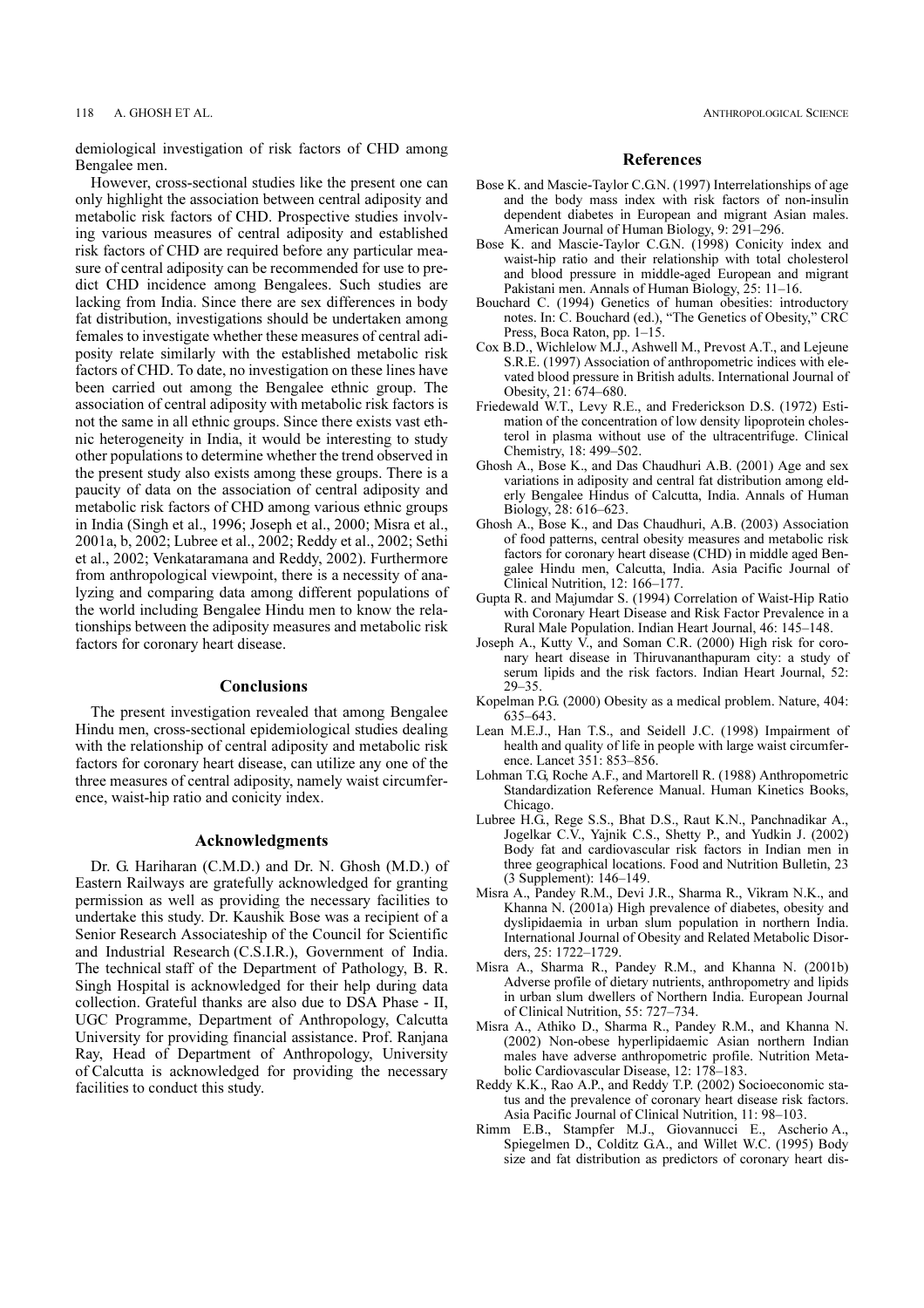demiological investigation of risk factors of CHD among Bengalee men.

However, cross-sectional studies like the present one can only highlight the association between central adiposity and metabolic risk factors of CHD. Prospective studies involving various measures of central adiposity and established risk factors of CHD are required before any particular measure of central adiposity can be recommended for use to predict CHD incidence among Bengalees. Such studies are lacking from India. Since there are sex differences in body fat distribution, investigations should be undertaken among females to investigate whether these measures of central adiposity relate similarly with the established metabolic risk factors of CHD. To date, no investigation on these lines have been carried out among the Bengalee ethnic group. The association of central adiposity with metabolic risk factors is not the same in all ethnic groups. Since there exists vast ethnic heterogeneity in India, it would be interesting to study other populations to determine whether the trend observed in the present study also exists among these groups. There is a paucity of data on the association of central adiposity and metabolic risk factors of CHD among various ethnic groups in India (Singh et al., 1996; Joseph et al., 2000; Misra et al., 2001a, b, 2002; Lubree et al., 2002; Reddy et al., 2002; Sethi et al., 2002; Venkataramana and Reddy, 2002). Furthermore from anthropological viewpoint, there is a necessity of analyzing and comparing data among different populations of the world including Bengalee Hindu men to know the relationships between the adiposity measures and metabolic risk factors for coronary heart disease.

## **Conclusions**

The present investigation revealed that among Bengalee Hindu men, cross-sectional epidemiological studies dealing with the relationship of central adiposity and metabolic risk factors for coronary heart disease, can utilize any one of the three measures of central adiposity, namely waist circumference, waist-hip ratio and conicity index.

## Acknowledgments

Dr. G. Hariharan (C.M.D.) and Dr. N. Ghosh (M.D.) of Eastern Railways are gratefully acknowledged for granting permission as well as providing the necessary facilities to undertake this study. Dr. Kaushik Bose was a recipient of a Senior Research Associateship of the Council for Scientific and Industrial Research (C.S.I.R.), Government of India. The technical staff of the Department of Pathology, B. R. Singh Hospital is acknowledged for their help during data collection. Grateful thanks are also due to DSA Phase - II, UGC Programme, Department of Anthropology, Calcutta University for providing financial assistance. Prof. Ranjana Ray, Head of Department of Anthropology, University of Calcutta is acknowledged for providing the necessary facilities to conduct this study.

#### References

- Bose K. and Mascie-Taylor C.G.N. (1997) Interrelationships of age and the body mass index with risk factors of non-insulin dependent diabetes in European and migrant Asian males. American Journal of Human Biology, 9: 291–296.
- Bose K. and Mascie-Taylor C.G.N. (1998) Conicity index and waist-hip ratio and their relationship with total cholesterol and blood pressure in middle-aged European and migrant Pakistani men. Annals of Human Biology, 25: 11–16.
- Bouchard C. (1994) Genetics of human obesities: introductory notes. In: C. Bouchard (ed.), "The Genetics of Obesity," CRC Press, Boca Raton, pp. 1–15.
- Cox B.D., Wichlelow M.J., Ashwell M., Prevost A.T., and Lejeune S.R.E. (1997) Association of anthropometric indices with elevated blood pressure in British adults. International Journal of Obesity, 21: 674–680.
- Friedewald W.T., Levy R.E., and Frederickson D.S. (1972) Estimation of the concentration of low density lipoprotein cholesterol in plasma without use of the ultracentrifuge. Clinical Chemistry, 18: 499–502.
- Ghosh A., Bose K., and Das Chaudhuri A.B. (2001) Age and sex variations in adiposity and central fat distribution among elderly Bengalee Hindus of Calcutta, India. Annals of Human Biology, 28: 616–623.
- Ghosh A., Bose K., and Das Chaudhuri, A.B. (2003) Association of food patterns, central obesity measures and metabolic risk factors for coronary heart disease (CHD) in middle aged Bengalee Hindu men, Calcutta, India. Asia Pacific Journal of Clinical Nutrition, 12: 166–177.
- Gupta R. and Majumdar S. (1994) Correlation of Waist-Hip Ratio with Coronary Heart Disease and Risk Factor Prevalence in a Rural Male Population. Indian Heart Journal, 46: 145–148.
- Joseph A., Kutty V., and Soman C.R. (2000) High risk for coronary heart disease in Thiruvananthapuram city: a study of serum lipids and the risk factors. Indian Heart Journal, 52: 29–35.
- Kopelman P.G. (2000) Obesity as a medical problem. Nature, 404: 635–643.
- Lean M.E.J., Han T.S., and Seidell J.C. (1998) Impairment of health and quality of life in people with large waist circumference. Lancet 351: 853–856.
- Lohman T.G, Roche A.F., and Martorell R. (1988) Anthropometric Standardization Reference Manual. Human Kinetics Books, Chicago.
- Lubree H.G., Rege S.S., Bhat D.S., Raut K.N., Panchnadikar A., Jogelkar C.V., Yajnik C.S., Shetty P., and Yudkin J. (2002) Body fat and cardiovascular risk factors in Indian men in three geographical locations. Food and Nutrition Bulletin, 23 (3 Supplement): 146–149.
- Misra A., Pandey R.M., Devi J.R., Sharma R., Vikram N.K., and Khanna N. (2001a) High prevalence of diabetes, obesity and dyslipidaemia in urban slum population in northern India. International Journal of Obesity and Related Metabolic Disorders, 25: 1722–1729.
- Misra A., Sharma R., Pandey R.M., and Khanna N. (2001b) Adverse profile of dietary nutrients, anthropometry and lipids in urban slum dwellers of Northern India. European Journal of Clinical Nutrition, 55: 727–734.
- Misra A., Athiko D., Sharma R., Pandey R.M., and Khanna N. (2002) Non-obese hyperlipidaemic Asian northern Indian males have adverse anthropometric profile. Nutrition Metabolic Cardiovascular Disease, 12: 178–183.
- Reddy K.K., Rao A.P., and Reddy T.P. (2002) Socioeconomic status and the prevalence of coronary heart disease risk factors. Asia Pacific Journal of Clinical Nutrition, 11: 98–103.
- Rimm E.B., Stampfer M.J., Giovannucci E., Ascherio A., Spiegelmen D., Colditz G.A., and Willet W.C. (1995) Body size and fat distribution as predictors of coronary heart dis-